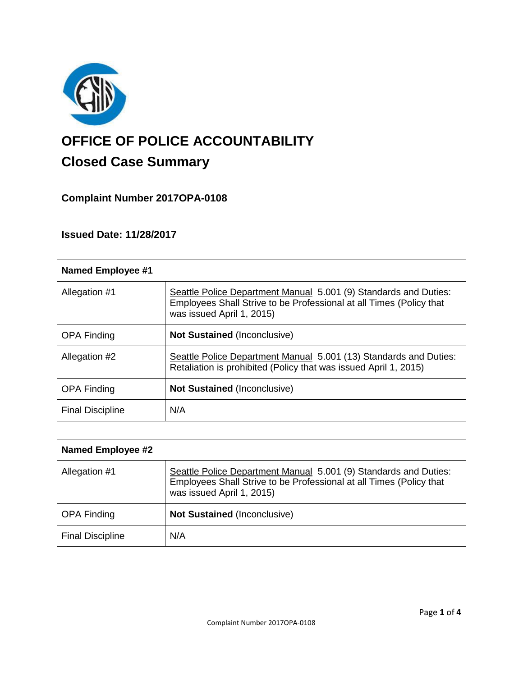

# **OFFICE OF POLICE ACCOUNTABILITY**

# **Closed Case Summary**

## **Complaint Number 2017OPA-0108**

### **Issued Date: 11/28/2017**

| <b>Named Employee #1</b> |                                                                                                                                                                      |
|--------------------------|----------------------------------------------------------------------------------------------------------------------------------------------------------------------|
| Allegation #1            | Seattle Police Department Manual 5.001 (9) Standards and Duties:<br>Employees Shall Strive to be Professional at all Times (Policy that<br>was issued April 1, 2015) |
| <b>OPA Finding</b>       | <b>Not Sustained (Inconclusive)</b>                                                                                                                                  |
| Allegation #2            | Seattle Police Department Manual 5.001 (13) Standards and Duties:<br>Retaliation is prohibited (Policy that was issued April 1, 2015)                                |
| <b>OPA Finding</b>       | <b>Not Sustained (Inconclusive)</b>                                                                                                                                  |
| <b>Final Discipline</b>  | N/A                                                                                                                                                                  |

| <b>Named Employee #2</b> |                                                                                                                                                                      |
|--------------------------|----------------------------------------------------------------------------------------------------------------------------------------------------------------------|
| Allegation #1            | Seattle Police Department Manual 5.001 (9) Standards and Duties:<br>Employees Shall Strive to be Professional at all Times (Policy that<br>was issued April 1, 2015) |
| <b>OPA Finding</b>       | <b>Not Sustained (Inconclusive)</b>                                                                                                                                  |
| <b>Final Discipline</b>  | N/A                                                                                                                                                                  |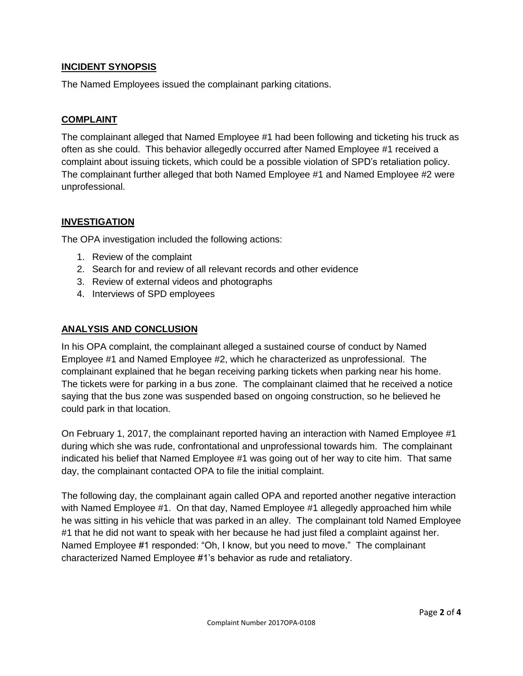#### **INCIDENT SYNOPSIS**

The Named Employees issued the complainant parking citations.

#### **COMPLAINT**

The complainant alleged that Named Employee #1 had been following and ticketing his truck as often as she could. This behavior allegedly occurred after Named Employee #1 received a complaint about issuing tickets, which could be a possible violation of SPD's retaliation policy. The complainant further alleged that both Named Employee #1 and Named Employee #2 were unprofessional.

#### **INVESTIGATION**

The OPA investigation included the following actions:

- 1. Review of the complaint
- 2. Search for and review of all relevant records and other evidence
- 3. Review of external videos and photographs
- 4. Interviews of SPD employees

#### **ANALYSIS AND CONCLUSION**

In his OPA complaint, the complainant alleged a sustained course of conduct by Named Employee #1 and Named Employee #2, which he characterized as unprofessional. The complainant explained that he began receiving parking tickets when parking near his home. The tickets were for parking in a bus zone. The complainant claimed that he received a notice saying that the bus zone was suspended based on ongoing construction, so he believed he could park in that location.

On February 1, 2017, the complainant reported having an interaction with Named Employee #1 during which she was rude, confrontational and unprofessional towards him. The complainant indicated his belief that Named Employee #1 was going out of her way to cite him. That same day, the complainant contacted OPA to file the initial complaint.

The following day, the complainant again called OPA and reported another negative interaction with Named Employee #1. On that day, Named Employee #1 allegedly approached him while he was sitting in his vehicle that was parked in an alley. The complainant told Named Employee #1 that he did not want to speak with her because he had just filed a complaint against her. Named Employee #1 responded: "Oh, I know, but you need to move." The complainant characterized Named Employee #1's behavior as rude and retaliatory.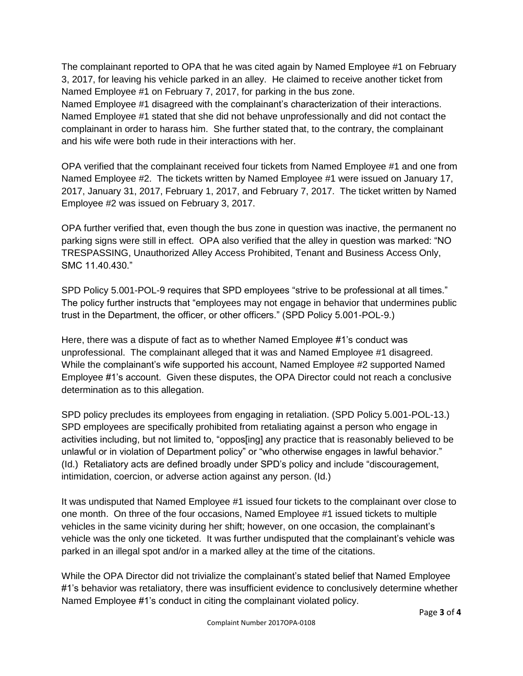The complainant reported to OPA that he was cited again by Named Employee #1 on February 3, 2017, for leaving his vehicle parked in an alley. He claimed to receive another ticket from Named Employee #1 on February 7, 2017, for parking in the bus zone.

Named Employee #1 disagreed with the complainant's characterization of their interactions. Named Employee #1 stated that she did not behave unprofessionally and did not contact the complainant in order to harass him. She further stated that, to the contrary, the complainant and his wife were both rude in their interactions with her.

OPA verified that the complainant received four tickets from Named Employee #1 and one from Named Employee #2. The tickets written by Named Employee #1 were issued on January 17, 2017, January 31, 2017, February 1, 2017, and February 7, 2017. The ticket written by Named Employee #2 was issued on February 3, 2017.

OPA further verified that, even though the bus zone in question was inactive, the permanent no parking signs were still in effect. OPA also verified that the alley in question was marked: "NO TRESPASSING, Unauthorized Alley Access Prohibited, Tenant and Business Access Only, SMC 11.40.430."

SPD Policy 5.001-POL-9 requires that SPD employees "strive to be professional at all times." The policy further instructs that "employees may not engage in behavior that undermines public trust in the Department, the officer, or other officers." (SPD Policy 5.001-POL-9.)

Here, there was a dispute of fact as to whether Named Employee #1's conduct was unprofessional. The complainant alleged that it was and Named Employee #1 disagreed. While the complainant's wife supported his account, Named Employee #2 supported Named Employee #1's account. Given these disputes, the OPA Director could not reach a conclusive determination as to this allegation.

SPD policy precludes its employees from engaging in retaliation. (SPD Policy 5.001-POL-13.) SPD employees are specifically prohibited from retaliating against a person who engage in activities including, but not limited to, "oppos[ing] any practice that is reasonably believed to be unlawful or in violation of Department policy" or "who otherwise engages in lawful behavior." (Id.) Retaliatory acts are defined broadly under SPD's policy and include "discouragement, intimidation, coercion, or adverse action against any person. (Id.)

It was undisputed that Named Employee #1 issued four tickets to the complainant over close to one month. On three of the four occasions, Named Employee #1 issued tickets to multiple vehicles in the same vicinity during her shift; however, on one occasion, the complainant's vehicle was the only one ticketed. It was further undisputed that the complainant's vehicle was parked in an illegal spot and/or in a marked alley at the time of the citations.

While the OPA Director did not trivialize the complainant's stated belief that Named Employee #1's behavior was retaliatory, there was insufficient evidence to conclusively determine whether Named Employee #1's conduct in citing the complainant violated policy.